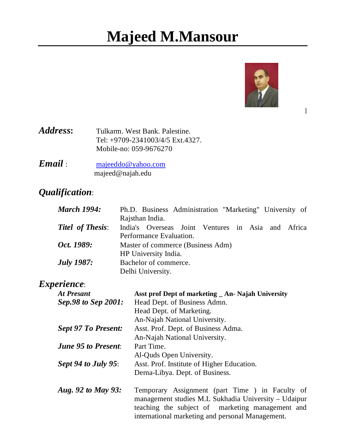# **Majeed M.Mansour**



]

Address: Tulkarm. West Bank. Palestine. Tel: +9709-2341003/4/5 Ext.4327. Mobile-no: 059-9676270

*Email* : majeeddo@yahoo.com majeed@najah.edu

# *Qualification*:

| <b>March 1994:</b>      | Ph.D. Business Administration "Marketing" University of |  |  |  |
|-------------------------|---------------------------------------------------------|--|--|--|
|                         | Rajsthan India.                                         |  |  |  |
| <b>Titel of Thesis:</b> | India's Overseas Joint Ventures in Asia and Africa      |  |  |  |
|                         | Performance Evaluation.                                 |  |  |  |
| Oct. 1989:              | Master of commerce (Business Adm)                       |  |  |  |
|                         | HP University India.                                    |  |  |  |
| <b>July 1987:</b>       | Bachelor of commerce.                                   |  |  |  |
|                         | Delhi University.                                       |  |  |  |

### *Experience*:

| At Presant                 | Asst prof Dept of marketing _ An- Najah University |
|----------------------------|----------------------------------------------------|
| Sep.98 to Sep 2001:        | Head Dept. of Business Admn.                       |
|                            | Head Dept. of Marketing.                           |
|                            | An-Najah National University.                      |
| <b>Sept 97 To Present:</b> | Asst. Prof. Dept. of Business Adma.                |
|                            | An-Najah National University.                      |
| <b>June 95 to Present:</b> | Part Time.                                         |
|                            | Al-Quds Open University.                           |
| Sept 94 to July 95:        | Asst. Prof. Institute of Higher Education.         |
|                            | Derna-Libya. Dept. of Business.                    |
| Aug. 92 to May 93:         | Temporary Assignment (part Time) in Facul          |

*Aug. 92 to May 93:* Temporary Assignment (part Time ) in Faculty of management studies M.L Sukhadia University – Udaipur teaching the subject of marketing management and international marketing and personal Management.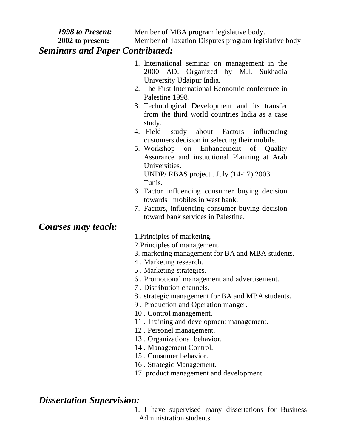| <b>1998 to Present:</b><br>Member of MBA program legislative body.                                                                                                                                                                                                                                                                                                                                                                                                                                                                                                                                                                                                                                                                                                      |  |  |  |  |
|-------------------------------------------------------------------------------------------------------------------------------------------------------------------------------------------------------------------------------------------------------------------------------------------------------------------------------------------------------------------------------------------------------------------------------------------------------------------------------------------------------------------------------------------------------------------------------------------------------------------------------------------------------------------------------------------------------------------------------------------------------------------------|--|--|--|--|
| Member of Taxation Disputes program legislative body<br>2002 to present:                                                                                                                                                                                                                                                                                                                                                                                                                                                                                                                                                                                                                                                                                                |  |  |  |  |
| <b>Seminars and Paper Contributed:</b>                                                                                                                                                                                                                                                                                                                                                                                                                                                                                                                                                                                                                                                                                                                                  |  |  |  |  |
| 1. International seminar on management in the<br>AD. Organized by M.L Sukhadia<br>2000<br>University Udaipur India.<br>2. The First International Economic conference in<br>Palestine 1998.<br>3. Technological Development and its transfer<br>from the third world countries India as a case<br>study.<br>4. Field study about Factors<br>influencing<br>customers decision in selecting their mobile.<br>5. Workshop on Enhancement of Quality<br>Assurance and institutional Planning at Arab<br>Universities.<br>UNDP/RBAS project. July (14-17) 2003<br>Tunis.<br>6. Factor influencing consumer buying decision<br>towards mobiles in west bank.<br>7. Factors, influencing consumer buying decision<br>toward bank services in Palestine.<br>Courses may teach: |  |  |  |  |
| 1. Principles of marketing.                                                                                                                                                                                                                                                                                                                                                                                                                                                                                                                                                                                                                                                                                                                                             |  |  |  |  |
| 2. Principles of management.                                                                                                                                                                                                                                                                                                                                                                                                                                                                                                                                                                                                                                                                                                                                            |  |  |  |  |
| 3. marketing management for BA and MBA students.                                                                                                                                                                                                                                                                                                                                                                                                                                                                                                                                                                                                                                                                                                                        |  |  |  |  |
| 4. Marketing research.                                                                                                                                                                                                                                                                                                                                                                                                                                                                                                                                                                                                                                                                                                                                                  |  |  |  |  |
| 5. Marketing strategies.                                                                                                                                                                                                                                                                                                                                                                                                                                                                                                                                                                                                                                                                                                                                                |  |  |  |  |
| 6. Promotional management and advertisement.                                                                                                                                                                                                                                                                                                                                                                                                                                                                                                                                                                                                                                                                                                                            |  |  |  |  |
| 7. Distribution channels.                                                                                                                                                                                                                                                                                                                                                                                                                                                                                                                                                                                                                                                                                                                                               |  |  |  |  |
| 8 . strategic management for BA and MBA students.<br>9. Production and Operation manger.                                                                                                                                                                                                                                                                                                                                                                                                                                                                                                                                                                                                                                                                                |  |  |  |  |
| 10. Control management.                                                                                                                                                                                                                                                                                                                                                                                                                                                                                                                                                                                                                                                                                                                                                 |  |  |  |  |
| 11. Training and development management.                                                                                                                                                                                                                                                                                                                                                                                                                                                                                                                                                                                                                                                                                                                                |  |  |  |  |

- 12 . Personel management.
- 13 . Organizational behavior.
- 14 . Management Control.
- 15 . Consumer behavior.
- 16 . Strategic Management.
- 17. product management and development

# *Dissertation Supervision:*

1. I have supervised many dissertations for Business Administration students.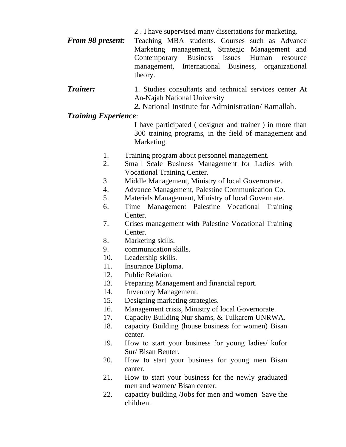- 2 . I have supervised many dissertations for marketing.
- *From 98 present:* Teaching MBA students. Courses such as Advance Marketing management, Strategic Management and Contemporary Business Issues Human resource management, International Business, organizational theory.
- **Trainer:** 1. Studies consultants and technical services center At An-Najah National University
	- *2.* National Institute for Administration/ Ramallah.

#### *Training Experience*:

I have participated ( designer and trainer ) in more than 300 training programs, in the field of management and Marketing.

- 1. Training program about personnel management.
- 2. Small Scale Business Management for Ladies with Vocational Training Center.
- 3. Middle Management, Ministry of local Governorate.
- 4. Advance Management, Palestine Communication Co.
- 5. Materials Management, Ministry of local Govern ate.
- 6. Time Management Palestine Vocational Training Center.
- 7. Crises management with Palestine Vocational Training Center.
- 8. Marketing skills.
- 9. communication skills.
- 10. Leadership skills.
- 11. Insurance Diploma.
- 12. Public Relation.
- 13. Preparing Management and financial report.
- 14. Inventory Management.
- 15. Designing marketing strategies.
- 16. Management crisis, Ministry of local Governorate.
- 17. Capacity Building Nur shams, & Tulkarem UNRWA.
- 18. capacity Building (house business for women) Bisan center.
- 19. How to start your business for young ladies/ kufor Sur/ Bisan Benter.
- 20. How to start your business for young men Bisan canter.
- 21. How to start your business for the newly graduated men and women/ Bisan center.
- 22. capacity building /Jobs for men and women Save the children.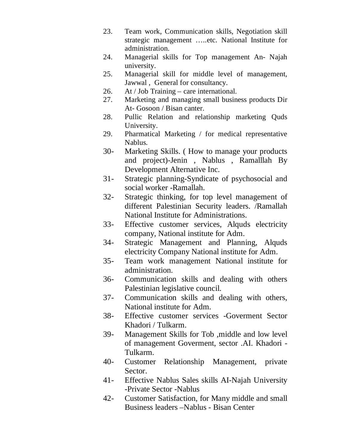- 23. Team work, Communication skills, Negotiation skill strategic management …..etc. National Institute for administration.
- 24. Managerial skills for Top management An- Najah university.
- 25. Managerial skill for middle level of management, Jawwal , General for consultancy.
- 26. At / Job Training care international.
- 27. Marketing and managing small business products Dir At- Gosoon / Bisan canter.
- 28. Pullic Relation and relationship marketing Quds University.
- 29. Pharmatical Marketing / for medical representative Nablus.
- 30- Marketing Skills. ( How to manage your products and project)-Jenin , Nablus , Ramalllah By Development Alternative Inc.
- 31- Strategic planning-Syndicate of psychosocial and social worker -Ramallah.
- 32- Strategic thinking, for top level management of different Palestinian Security leaders. /Ramallah National Institute for Administrations.
- 33- Effective customer services, Alquds electricity company, National institute for Adm.
- 34- Strategic Management and Planning, Alquds electricity Company National institute for Adm.
- 35- Team work management National institute for administration.
- 36- Communication skills and dealing with others Palestinian legislative council.
- 37- Communication skills and dealing with others, National institute for Adm.
- 38- Effective customer services -Goverment Sector Khadori / Tulkarm.
- 39- Management Skills for Tob ,middle and low level of management Goverment, sector .AI. Khadori - Tulkarm.
- 40- Customer Relationship Management, private Sector.
- 41- Effective Nablus Sales skills AI-Najah University -Private Sector -Nablus
- 42- Customer Satisfaction, for Many middle and small Business leaders –Nablus - Bisan Center